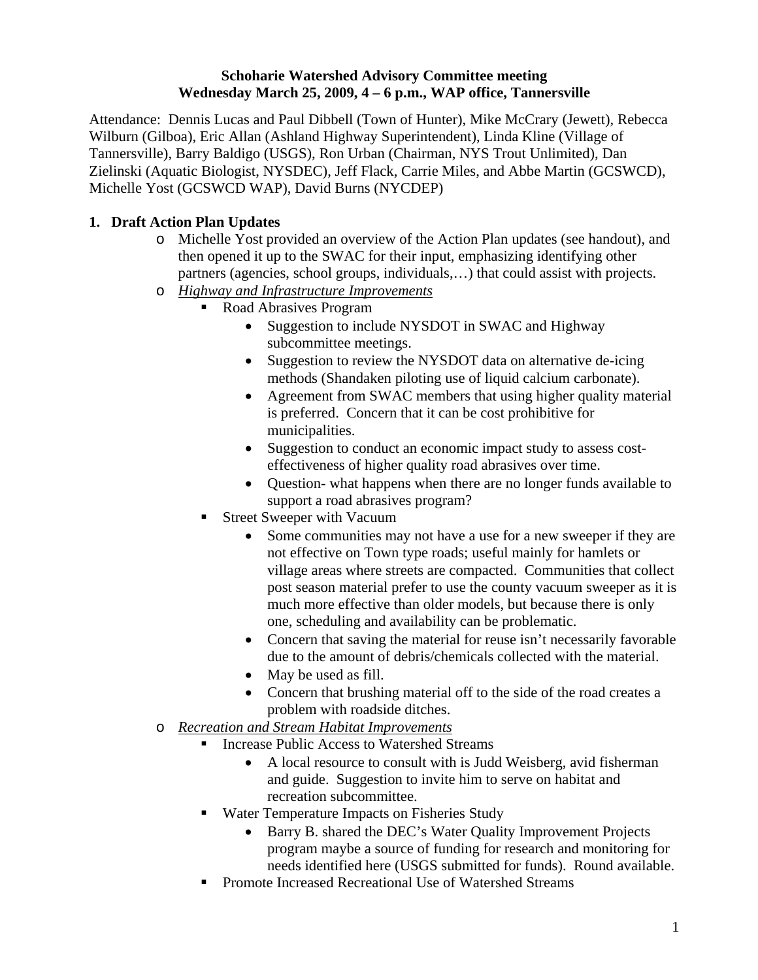#### **Schoharie Watershed Advisory Committee meeting Wednesday March 25, 2009, 4 – 6 p.m., WAP office, Tannersville**

Attendance: Dennis Lucas and Paul Dibbell (Town of Hunter), Mike McCrary (Jewett), Rebecca Wilburn (Gilboa), Eric Allan (Ashland Highway Superintendent), Linda Kline (Village of Tannersville), Barry Baldigo (USGS), Ron Urban (Chairman, NYS Trout Unlimited), Dan Zielinski (Aquatic Biologist, NYSDEC), Jeff Flack, Carrie Miles, and Abbe Martin (GCSWCD), Michelle Yost (GCSWCD WAP), David Burns (NYCDEP)

# **1. Draft Action Plan Updates**

- o Michelle Yost provided an overview of the Action Plan updates (see handout), and then opened it up to the SWAC for their input, emphasizing identifying other partners (agencies, school groups, individuals,…) that could assist with projects.
- o *Highway and Infrastructure Improvements*
	- Road Abrasives Program
		- Suggestion to include NYSDOT in SWAC and Highway subcommittee meetings.
		- Suggestion to review the NYSDOT data on alternative de-icing methods (Shandaken piloting use of liquid calcium carbonate).
		- Agreement from SWAC members that using higher quality material is preferred. Concern that it can be cost prohibitive for municipalities.
		- Suggestion to conduct an economic impact study to assess costeffectiveness of higher quality road abrasives over time.
		- Ouestion- what happens when there are no longer funds available to support a road abrasives program?
	- Street Sweeper with Vacuum
		- Some communities may not have a use for a new sweeper if they are not effective on Town type roads; useful mainly for hamlets or village areas where streets are compacted. Communities that collect post season material prefer to use the county vacuum sweeper as it is much more effective than older models, but because there is only one, scheduling and availability can be problematic.
		- Concern that saving the material for reuse isn't necessarily favorable due to the amount of debris/chemicals collected with the material.
		- May be used as fill.
		- Concern that brushing material off to the side of the road creates a problem with roadside ditches.
- o *Recreation and Stream Habitat Improvements*
	- Increase Public Access to Watershed Streams
		- A local resource to consult with is Judd Weisberg, avid fisherman and guide. Suggestion to invite him to serve on habitat and recreation subcommittee.
	- Water Temperature Impacts on Fisheries Study
		- Barry B. shared the DEC's Water Quality Improvement Projects program maybe a source of funding for research and monitoring for needs identified here (USGS submitted for funds). Round available.
	- **Promote Increased Recreational Use of Watershed Streams**